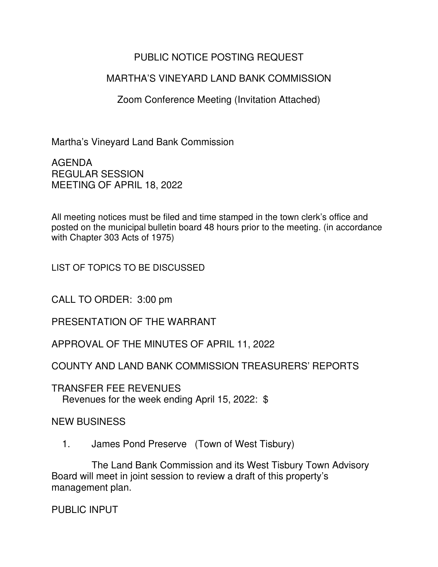## PUBLIC NOTICE POSTING REQUEST

## MARTHA'S VINEYARD LAND BANK COMMISSION

Zoom Conference Meeting (Invitation Attached)

Martha's Vineyard Land Bank Commission

AGENDA REGULAR SESSION MEETING OF APRIL 18, 2022

All meeting notices must be filed and time stamped in the town clerk's office and posted on the municipal bulletin board 48 hours prior to the meeting. (in accordance with Chapter 303 Acts of 1975)

LIST OF TOPICS TO BE DISCUSSED

CALL TO ORDER: 3:00 pm

PRESENTATION OF THE WARRANT

APPROVAL OF THE MINUTES OF APRIL 11, 2022

COUNTY AND LAND BANK COMMISSION TREASURERS' REPORTS

TRANSFER FEE REVENUES Revenues for the week ending April 15, 2022: \$

NEW BUSINESS

1. James Pond Preserve (Town of West Tisbury)

 The Land Bank Commission and its West Tisbury Town Advisory Board will meet in joint session to review a draft of this property's management plan.

PUBLIC INPUT